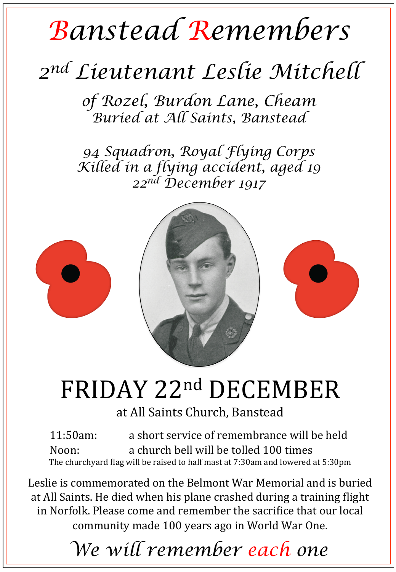## *Banstead Remembers*

## *2nd Lieutenant Leslie Mitchell*

*of Rozel, Burdon Lane, Cheam Buried at All Saints, Banstead* 

*94 Squadron, Royal Flying Corps Killed in a flying accident, aged 19 22nd December 1917* 



## FRIDAY 22nd DECEMBER

at All Saints Church, Banstead

11:50am: a short service of remembrance will be held Noon: a church bell will be tolled 100 times The churchyard flag will be raised to half mast at 7:30am and lowered at 5:30pm

Leslie is commemorated on the Belmont War Memorial and is buried at All Saints. He died when his plane crashed during a training flight in Norfolk. Please come and remember the sacrifice that our local community made 100 years ago in World War One.

*We will remember each one*